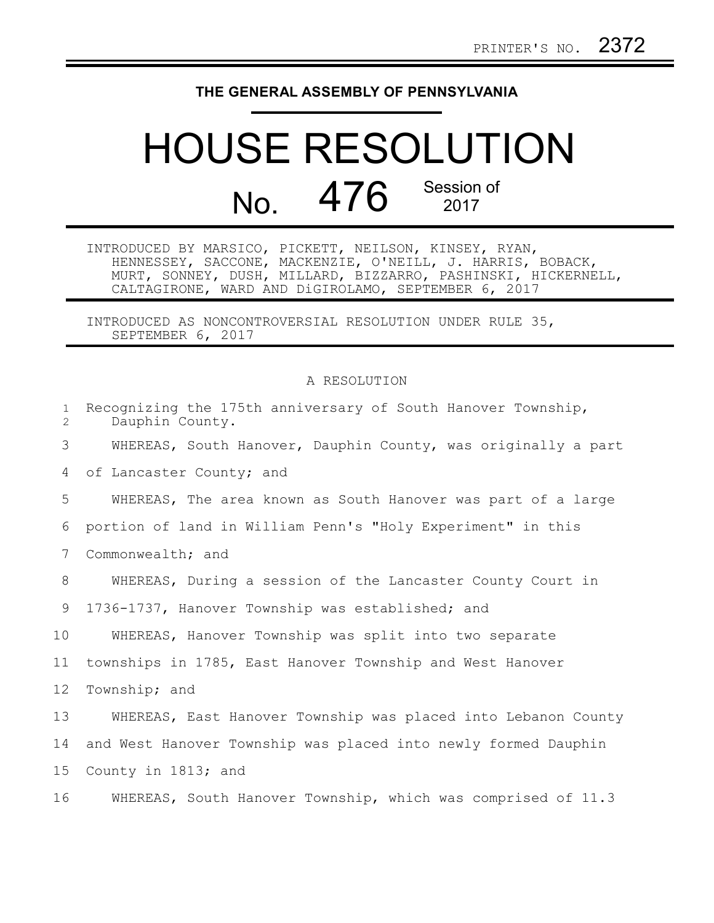## **THE GENERAL ASSEMBLY OF PENNSYLVANIA**

## HOUSE RESOLUTION No. 476 Session of

INTRODUCED BY MARSICO, PICKETT, NEILSON, KINSEY, RYAN, HENNESSEY, SACCONE, MACKENZIE, O'NEILL, J. HARRIS, BOBACK, MURT, SONNEY, DUSH, MILLARD, BIZZARRO, PASHINSKI, HICKERNELL, CALTAGIRONE, WARD AND DiGIROLAMO, SEPTEMBER 6, 2017

INTRODUCED AS NONCONTROVERSIAL RESOLUTION UNDER RULE 35, SEPTEMBER 6, 2017

## A RESOLUTION

| $\mathbf{1}$<br>$\overline{2}$ | Recognizing the 175th anniversary of South Hanover Township,<br>Dauphin County. |
|--------------------------------|---------------------------------------------------------------------------------|
| 3                              | WHEREAS, South Hanover, Dauphin County, was originally a part                   |
| 4                              | of Lancaster County; and                                                        |
| 5                              | WHEREAS, The area known as South Hanover was part of a large                    |
| 6                              | portion of land in William Penn's "Holy Experiment" in this                     |
| 7                              | Commonwealth; and                                                               |
| 8                              | WHEREAS, During a session of the Lancaster County Court in                      |
| 9                              | 1736-1737, Hanover Township was established; and                                |
| 10                             | WHEREAS, Hanover Township was split into two separate                           |
| 11                             | townships in 1785, East Hanover Township and West Hanover                       |
| 12 <sup>°</sup>                | Township; and                                                                   |
| 13                             | WHEREAS, East Hanover Township was placed into Lebanon County                   |
| 14                             | and West Hanover Township was placed into newly formed Dauphin                  |
| 15 <sub>1</sub>                | County in 1813; and                                                             |
| 16                             | WHEREAS, South Hanover Township, which was comprised of 11.3                    |